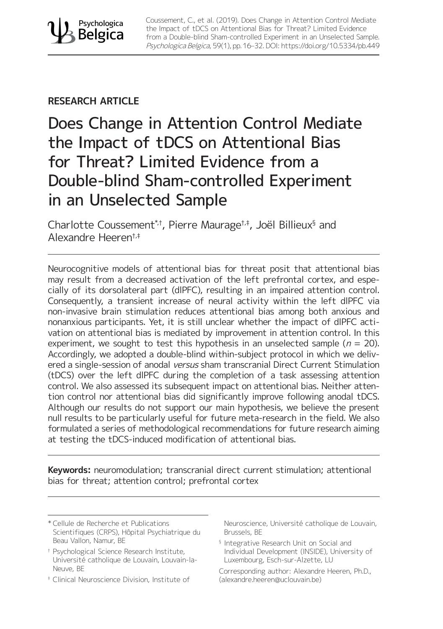## **RESEARCH ARTICLE**

Belgica Psychologica

# Does Change in Attention Control Mediate the Impact of tDCS on Attentional Bias for Threat? Limited Evidence from a Double-blind Sham-controlled Experiment in an Unselected Sample

Charlotte Coussement\*†, Pierre Maurage†.‡, Joël Billieux§ and Alexandre Heeren†,‡

Neurocognitive models of attentional bias for threat posit that attentional bias may result from a decreased activation of the left prefrontal cortex, and especially of its dorsolateral part (dlPFC), resulting in an impaired attention control. Consequently, a transient increase of neural activity within the left dlPFC via non-invasive brain stimulation reduces attentional bias among both anxious and nonanxious participants. Yet, it is still unclear whether the impact of dlPFC activation on attentional bias is mediated by improvement in attention control. In this experiment, we sought to test this hypothesis in an unselected sample ( $n = 20$ ). Accordingly, we adopted a double-blind within-subject protocol in which we delivered a single-session of anodal versus sham transcranial Direct Current Stimulation (tDCS) over the left dlPFC during the completion of a task assessing attention control. We also assessed its subsequent impact on attentional bias. Neither attention control nor attentional bias did significantly improve following anodal tDCS. Although our results do not support our main hypothesis, we believe the present null results to be particularly useful for future meta-research in the field. We also formulated a series of methodological recommendations for future research aiming at testing the tDCS-induced modification of attentional bias.

**Keywords:** neuromodulation; transcranial direct current stimulation; attentional bias for threat; attention control; prefrontal cortex

\* Cellule de Recherche et Publications Scientifiques (CRPS), Hôpital Psychiatrique du Beau Vallon, Namur, BE

- † Psychological Science Research Institute, Université catholique de Louvain, Louvain-la-Neuve, BE
- ‡ Clinical Neuroscience Division, Institute of
- Neuroscience, Université catholique de Louvain, Brussels, BE
- § Integrative Research Unit on Social and Individual Development (INSIDE), University of Luxembourg, Esch-sur-Alzette, LU

Corresponding author: Alexandre Heeren, Ph.D., ([alexandre.heeren@uclouvain.be\)](mailto:alexandre.heeren@uclouvain.be)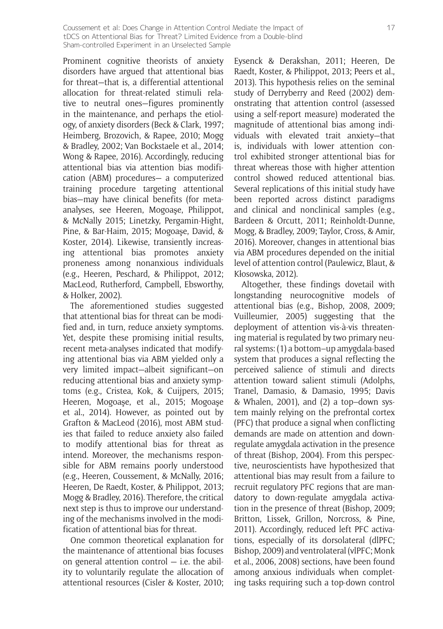Prominent cognitive theorists of anxiety disorders have argued that attentional bias for threat—that is, a differential attentional allocation for threat-related stimuli relative to neutral ones—figures prominently in the maintenance, and perhaps the etiology, of anxiety disorders (Beck & Clark, 1997; Heimberg, Brozovich, & Rapee, 2010; Mogg & Bradley, 2002; Van Bockstaele et al., 2014; Wong & Rapee, 2016). Accordingly, reducing attentional bias via attention bias modification (ABM) procedures— a computerized training procedure targeting attentional bias—may have clinical benefits (for metaanalyses, see Heeren, Mogoaşe, Philippot, & McNally 2015; Linetzky, Pergamin-Hight, Pine, & Bar-Haim, 2015; Mogoaşe, David, & Koster, 2014). Likewise, transiently increasing attentional bias promotes anxiety proneness among nonanxious individuals (e.g., Heeren, Peschard, & Philippot, 2012; MacLeod, Rutherford, Campbell, Ebsworthy, & Holker, 2002).

The aforementioned studies suggested that attentional bias for threat can be modified and, in turn, reduce anxiety symptoms. Yet, despite these promising initial results, recent meta-analyses indicated that modifying attentional bias via ABM yielded only a very limited impact—albeit significant—on reducing attentional bias and anxiety symptoms (e.g., Cristea, Kok, & Cuijpers, 2015; Heeren, Mogoaşe, et al., 2015; Mogoaşe et al., 2014). However, as pointed out by Grafton & MacLeod (2016), most ABM studies that failed to reduce anxiety also failed to modify attentional bias for threat as intend. Moreover, the mechanisms responsible for ABM remains poorly understood (e.g., Heeren, Coussement, & McNally, 2016; Heeren, De Raedt, Koster, & Philippot, 2013; Mogg & Bradley, 2016). Therefore, the critical next step is thus to improve our understanding of the mechanisms involved in the modification of attentional bias for threat.

One common theoretical explanation for the maintenance of attentional bias focuses on general attention control  $-$  i.e. the ability to voluntarily regulate the allocation of attentional resources (Cisler & Koster, 2010;

Eysenck & Derakshan, 2011; Heeren, De Raedt, Koster, & Philippot, 2013; Peers et al., 2013). This hypothesis relies on the seminal study of Derryberry and Reed (2002) demonstrating that attention control (assessed using a self-report measure) moderated the magnitude of attentional bias among individuals with elevated trait anxiety—that is, individuals with lower attention control exhibited stronger attentional bias for threat whereas those with higher attention control showed reduced attentional bias. Several replications of this initial study have been reported across distinct paradigms and clinical and nonclinical samples (e.g., Bardeen & Orcutt, 2011; Reinholdt-Dunne, Mogg, & Bradley, 2009; Taylor, Cross, & Amir, 2016). Moreover, changes in attentional bias via ABM procedures depended on the initial level of attention control (Paulewicz, Blaut, & Kłosowska, 2012).

Altogether, these findings dovetail with longstanding neurocognitive models of attentional bias (e.g., Bishop, 2008, 2009; Vuilleumier, 2005) suggesting that the deployment of attention vis-à-vis threatening material is regulated by two primary neural systems: (1) a bottom–up amygdala-based system that produces a signal reflecting the perceived salience of stimuli and directs attention toward salient stimuli (Adolphs, Tranel, Damasio, & Damasio, 1995; Davis & Whalen, 2001), and (2) a top–down system mainly relying on the prefrontal cortex (PFC) that produce a signal when conflicting demands are made on attention and downregulate amygdala activation in the presence of threat (Bishop, 2004). From this perspective, neuroscientists have hypothesized that attentional bias may result from a failure to recruit regulatory PFC regions that are mandatory to down-regulate amygdala activation in the presence of threat (Bishop, 2009; Britton, Lissek, Grillon, Norcross, & Pine, 2011). Accordingly, reduced left PFC activations, especially of its dorsolateral (dlPFC; Bishop, 2009) and ventrolateral (vlPFC; Monk et al., 2006, 2008) sections, have been found among anxious individuals when completing tasks requiring such a top-down control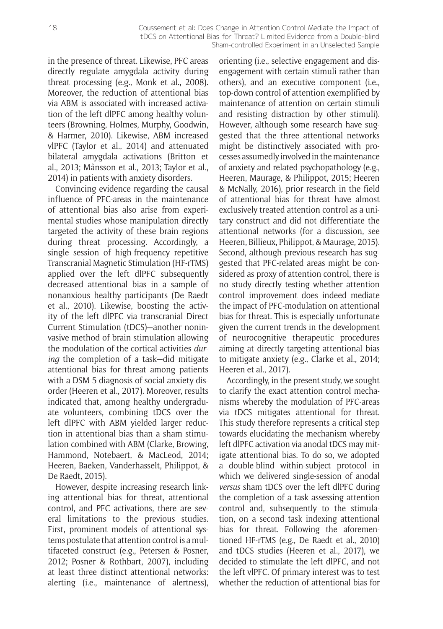in the presence of threat. Likewise, PFC areas directly regulate amygdala activity during threat processing (e.g., Monk et al., 2008). Moreover, the reduction of attentional bias via ABM is associated with increased activation of the left dlPFC among healthy volunteers (Browning, Holmes, Murphy, Goodwin, & Harmer, 2010). Likewise, ABM increased vlPFC (Taylor et al., 2014) and attenuated bilateral amygdala activations (Britton et al., 2013; Månsson et al., 2013; Taylor et al., 2014) in patients with anxiety disorders.

Convincing evidence regarding the causal influence of PFC-areas in the maintenance of attentional bias also arise from experimental studies whose manipulation directly targeted the activity of these brain regions during threat processing. Accordingly, a single session of high-frequency repetitive Transcranial Magnetic Stimulation (HF-rTMS) applied over the left dlPFC subsequently decreased attentional bias in a sample of nonanxious healthy participants (De Raedt et al., 2010). Likewise, boosting the activity of the left dlPFC via transcranial Direct Current Stimulation (tDCS)—another noninvasive method of brain stimulation allowing the modulation of the cortical activities *during* the completion of a task—did mitigate attentional bias for threat among patients with a DSM-5 diagnosis of social anxiety disorder (Heeren et al., 2017). Moreover, results indicated that, among healthy undergraduate volunteers, combining tDCS over the left dlPFC with ABM yielded larger reduction in attentional bias than a sham stimulation combined with ABM (Clarke, Browing, Hammond, Notebaert, & MacLeod, 2014; Heeren, Baeken, Vanderhasselt, Philippot, & De Raedt, 2015).

However, despite increasing research linking attentional bias for threat, attentional control, and PFC activations, there are several limitations to the previous studies. First, prominent models of attentional systems postulate that attention control is a multifaceted construct (e.g., Petersen & Posner, 2012; Posner & Rothbart, 2007), including at least three distinct attentional networks: alerting (i.e., maintenance of alertness), orienting (i.e., selective engagement and disengagement with certain stimuli rather than others), and an executive component (i.e., top-down control of attention exemplified by maintenance of attention on certain stimuli and resisting distraction by other stimuli). However, although some research have suggested that the three attentional networks might be distinctively associated with processes assumedly involved in the maintenance of anxiety and related psychopathology (e.g., Heeren, Maurage, & Philippot, 2015; Heeren & McNally, 2016), prior research in the field of attentional bias for threat have almost exclusively treated attention control as a unitary construct and did not differentiate the attentional networks (for a discussion, see Heeren, Billieux, Philippot, & Maurage, 2015). Second, although previous research has suggested that PFC-related areas might be considered as proxy of attention control, there is no study directly testing whether attention control improvement does indeed mediate the impact of PFC-modulation on attentional bias for threat. This is especially unfortunate given the current trends in the development of neurocognitive therapeutic procedures aiming at directly targeting attentional bias to mitigate anxiety (e.g., Clarke et al., 2014; Heeren et al., 2017).

Accordingly, in the present study, we sought to clarify the exact attention control mechanisms whereby the modulation of PFC-areas via tDCS mitigates attentional for threat. This study therefore represents a critical step towards elucidating the mechanism whereby left dlPFC activation via anodal tDCS may mitigate attentional bias. To do so, we adopted a double-blind within-subject protocol in which we delivered single-session of anodal *versus* sham tDCS over the left dlPFC during the completion of a task assessing attention control and, subsequently to the stimulation, on a second task indexing attentional bias for threat. Following the aforementioned HF-rTMS (e.g., De Raedt et al., 2010) and tDCS studies (Heeren et al., 2017), we decided to stimulate the left dlPFC, and not the left vlPFC. Of primary interest was to test whether the reduction of attentional bias for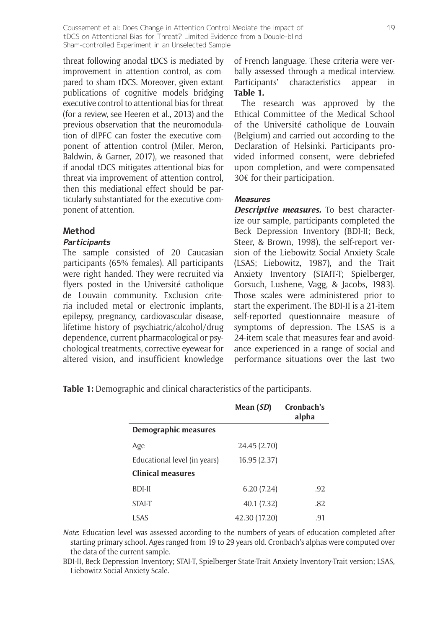threat following anodal tDCS is mediated by improvement in attention control, as compared to sham tDCS. Moreover, given extant publications of cognitive models bridging executive control to attentional bias for threat (for a review, see Heeren et al., 2013) and the previous observation that the neuromodulation of dlPFC can foster the executive component of attention control (Miler, Meron, Baldwin, & Garner, 2017), we reasoned that if anodal tDCS mitigates attentional bias for threat via improvement of attention control, then this mediational effect should be particularly substantiated for the executive component of attention.

## **Method**

## **Participants**

The sample consisted of 20 Caucasian participants (65% females). All participants were right handed. They were recruited via flyers posted in the Université catholique de Louvain community. Exclusion criteria included metal or electronic implants, epilepsy, pregnancy, cardiovascular disease, lifetime history of psychiatric/alcohol/drug dependence, current pharmacological or psychological treatments, corrective eyewear for altered vision, and insufficient knowledge of French language. These criteria were verbally assessed through a medical interview. Participants' characteristics appear in **Table 1.**

The research was approved by the Ethical Committee of the Medical School of the Université catholique de Louvain (Belgium) and carried out according to the Declaration of Helsinki. Participants provided informed consent, were debriefed upon completion, and were compensated 30€ for their participation.

## **Measures**

*Descriptive measures.* To best characterize our sample, participants completed the Beck Depression Inventory (BDI-II; Beck, Steer, & Brown, 1998), the self-report version of the Liebowitz Social Anxiety Scale (LSAS; Liebowitz, 1987), and the Trait Anxiety Inventory (STAIT-T; Spielberger, Gorsuch, Lushene, Vagg, & Jacobs, 1983). Those scales were administered prior to start the experiment. The BDI-II is a 21-item self-reported questionnaire measure of symptoms of depression. The LSAS is a 24-item scale that measures fear and avoidance experienced in a range of social and performance situations over the last two

**Table 1:** Demographic and clinical characteristics of the participants.

|                              | Mean (SD)     | Cronbach's<br>alpha |
|------------------------------|---------------|---------------------|
| Demographic measures         |               |                     |
| Age                          | 24.45 (2.70)  |                     |
| Educational level (in years) | 16.95(2.37)   |                     |
| <b>Clinical measures</b>     |               |                     |
| BDI-II                       | 6.20(7.24)    | .92                 |
| STAI-T                       | 40.1 (7.32)   | .82                 |
| LSAS                         | 42.30 (17.20) | .91                 |

*Note*: Education level was assessed according to the numbers of years of education completed after starting primary school. Ages ranged from 19 to 29 years old. Cronbach's alphas were computed over the data of the current sample.

BDI-II, Beck Depression Inventory; STAI-T, Spielberger State-Trait Anxiety Inventory-Trait version; LSAS, Liebowitz Social Anxiety Scale.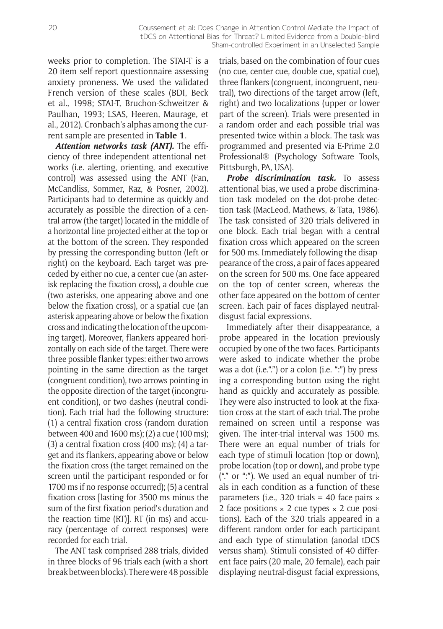weeks prior to completion. The STAI-T is a 20-item self-report questionnaire assessing anxiety proneness. We used the validated French version of these scales (BDI, Beck et al., 1998; STAI-T, Bruchon-Schweitzer & Paulhan, 1993; LSAS, Heeren, Maurage, et al., 2012). Cronbach's alphas among the current sample are presented in **Table 1**.

*Attention networks task (ANT).* The efficiency of three independent attentional networks (i.e. alerting, orienting, and executive control) was assessed using the ANT (Fan, McCandliss, Sommer, Raz, & Posner, 2002). Participants had to determine as quickly and accurately as possible the direction of a central arrow (the target) located in the middle of a horizontal line projected either at the top or at the bottom of the screen. They responded by pressing the corresponding button (left or right) on the keyboard. Each target was preceded by either no cue, a center cue (an asterisk replacing the fixation cross), a double cue (two asterisks, one appearing above and one below the fixation cross), or a spatial cue (an asterisk appearing above or below the fixation cross and indicating the location of the upcoming target). Moreover, flankers appeared horizontally on each side of the target. There were three possible flanker types: either two arrows pointing in the same direction as the target (congruent condition), two arrows pointing in the opposite direction of the target (incongruent condition), or two dashes (neutral condition). Each trial had the following structure: (1) a central fixation cross (random duration between 400 and 1600 ms); (2) a cue (100 ms); (3) a central fixation cross (400 ms); (4) a target and its flankers, appearing above or below the fixation cross (the target remained on the screen until the participant responded or for 1700 ms if no response occurred); (5) a central fixation cross [lasting for 3500 ms minus the sum of the first fixation period's duration and the reaction time (RT)]. RT (in ms) and accuracy (percentage of correct responses) were recorded for each trial.

The ANT task comprised 288 trials, divided in three blocks of 96 trials each (with a short break between blocks). There were 48 possible trials, based on the combination of four cues (no cue, center cue, double cue, spatial cue), three flankers (congruent, incongruent, neutral), two directions of the target arrow (left, right) and two localizations (upper or lower part of the screen). Trials were presented in a random order and each possible trial was presented twice within a block. The task was programmed and presented via E-Prime 2.0 Professional® (Psychology Software Tools, Pittsburgh, PA, USA).

**Probe discrimination task.** To assess attentional bias, we used a probe discrimination task modeled on the dot-probe detection task (MacLeod, Mathews, & Tata, 1986). The task consisted of 320 trials delivered in one block. Each trial began with a central fixation cross which appeared on the screen for 500 ms. Immediately following the disappearance of the cross, a pair of faces appeared on the screen for 500 ms. One face appeared on the top of center screen, whereas the other face appeared on the bottom of center screen. Each pair of faces displayed neutraldisgust facial expressions.

Immediately after their disappearance, a probe appeared in the location previously occupied by one of the two faces. Participants were asked to indicate whether the probe was a dot (i.e.".") or a colon (i.e. ":") by pressing a corresponding button using the right hand as quickly and accurately as possible. They were also instructed to look at the fixation cross at the start of each trial. The probe remained on screen until a response was given. The inter-trial interval was 1500 ms. There were an equal number of trials for each type of stimuli location (top or down), probe location (top or down), and probe type ("." or ":"). We used an equal number of trials in each condition as a function of these parameters (i.e., 320 trials = 40 face-pairs  $\times$ 2 face positions  $\times$  2 cue types  $\times$  2 cue positions). Each of the 320 trials appeared in a different random order for each participant and each type of stimulation (anodal tDCS versus sham). Stimuli consisted of 40 different face pairs (20 male, 20 female), each pair displaying neutral-disgust facial expressions,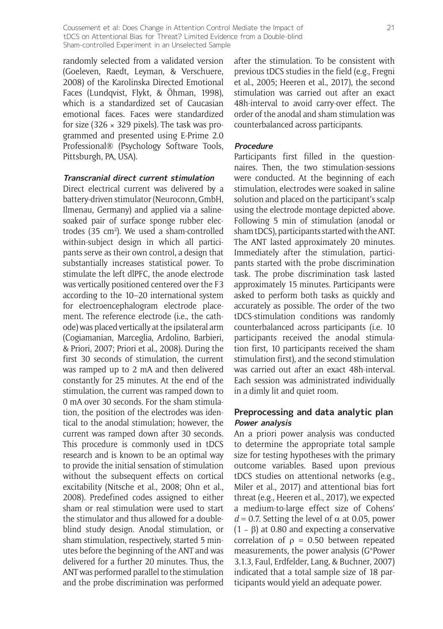randomly selected from a validated version (Goeleven, Raedt, Leyman, & Verschuere, 2008) of the Karolinska Directed Emotional Faces (Lundqvist, Flykt, & Öhman, 1998), which is a standardized set of Caucasian emotional faces. Faces were standardized for size (326  $\times$  329 pixels). The task was programmed and presented using E-Prime 2.0 Professional® (Psychology Software Tools, Pittsburgh, PA, USA).

#### **Transcranial direct current stimulation**

Direct electrical current was delivered by a battery-driven stimulator (Neuroconn, GmbH, Ilmenau, Germany) and applied via a salinesoaked pair of surface sponge rubber electrodes (35 cm<sup>2</sup>). We used a sham-controlled within-subject design in which all participants serve as their own control, a design that substantially increases statistical power. To stimulate the left dlPFC, the anode electrode was vertically positioned centered over the F3 according to the 10–20 international system for electroencephalogram electrode placement. The reference electrode (i.e., the cathode) was placed vertically at the ipsilateral arm (Cogiamanian, Marceglia, Ardolino, Barbieri, & Priori, 2007; Priori et al., 2008). During the first 30 seconds of stimulation, the current was ramped up to 2 mA and then delivered constantly for 25 minutes. At the end of the stimulation, the current was ramped down to 0 mA over 30 seconds. For the sham stimulation, the position of the electrodes was identical to the anodal stimulation; however, the current was ramped down after 30 seconds. This procedure is commonly used in tDCS research and is known to be an optimal way to provide the initial sensation of stimulation without the subsequent effects on cortical excitability (Nitsche et al., 2008; Ohn et al., 2008). Predefined codes assigned to either sham or real stimulation were used to start the stimulator and thus allowed for a doubleblind study design. Anodal stimulation, or sham stimulation, respectively, started 5 minutes before the beginning of the ANT and was delivered for a further 20 minutes. Thus, the ANT was performed parallel to the stimulation and the probe discrimination was performed

after the stimulation. To be consistent with previous tDCS studies in the field (e.g., Fregni et al., 2005; Heeren et al., 2017), the second stimulation was carried out after an exact 48h-interval to avoid carry-over effect. The order of the anodal and sham stimulation was counterbalanced across participants.

## **Procedure**

Participants first filled in the questionnaires. Then, the two stimulation-sessions were conducted. At the beginning of each stimulation, electrodes were soaked in saline solution and placed on the participant's scalp using the electrode montage depicted above. Following 5 min of stimulation (anodal or sham tDCS), participants started with the ANT. The ANT lasted approximately 20 minutes. Immediately after the stimulation, participants started with the probe discrimination task. The probe discrimination task lasted approximately 15 minutes. Participants were asked to perform both tasks as quickly and accurately as possible. The order of the two tDCS-stimulation conditions was randomly counterbalanced across participants (i.e. 10 participants received the anodal stimulation first, 10 participants received the sham stimulation first), and the second stimulation was carried out after an exact 48h-interval. Each session was administrated individually in a dimly lit and quiet room.

## **Preprocessing and data analytic plan Power analysis**

An a priori power analysis was conducted to determine the appropriate total sample size for testing hypotheses with the primary outcome variables. Based upon previous tDCS studies on attentional networks (e.g., Miler et al., 2017) and attentional bias fort threat (e.g., Heeren et al., 2017), we expected a medium-to-large effect size of Cohens'  $d = 0.7$ . Setting the level of  $\alpha$  at 0.05, power  $(1 - \beta)$  at 0.80 and expecting a conservative correlation of  $\rho = 0.50$  between repeated measurements, the power analysis (G\*Power 3.1.3, Faul, Erdfelder, Lang, & Buchner, 2007) indicated that a total sample size of 18 participants would yield an adequate power.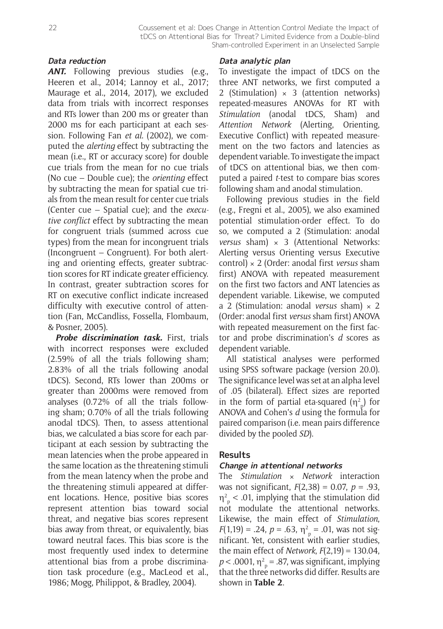## **Data reduction**

ANT. Following previous studies (e.g., Heeren et al., 2014; Lannoy et al., 2017; Maurage et al., 2014, 2017), we excluded data from trials with incorrect responses and RTs lower than 200 ms or greater than 2000 ms for each participant at each session. Following Fan *et al*. (2002), we computed the *alerting* effect by subtracting the mean (i.e., RT or accuracy score) for double cue trials from the mean for no cue trials (No cue – Double cue); the *orienting* effect by subtracting the mean for spatial cue trials from the mean result for center cue trials (Center cue – Spatial cue); and the *executive conflict* effect by subtracting the mean for congruent trials (summed across cue types) from the mean for incongruent trials (Incongruent – Congruent). For both alerting and orienting effects, greater subtraction scores for RT indicate greater efficiency. In contrast, greater subtraction scores for RT on executive conflict indicate increased difficulty with executive control of attention (Fan, McCandliss, Fossella, Flombaum, & Posner, 2005).

*Probe discrimination task.* First, trials with incorrect responses were excluded (2.59% of all the trials following sham; 2.83% of all the trials following anodal tDCS). Second, RTs lower than 200ms or greater than 2000ms were removed from analyses (0.72% of all the trials following sham; 0.70% of all the trials following anodal tDCS). Then, to assess attentional bias, we calculated a bias score for each participant at each session by subtracting the mean latencies when the probe appeared in the same location as the threatening stimuli from the mean latency when the probe and the threatening stimuli appeared at different locations. Hence, positive bias scores represent attention bias toward social threat, and negative bias scores represent bias away from threat, or equivalently, bias toward neutral faces. This bias score is the most frequently used index to determine attentional bias from a probe discrimination task procedure (e.g., MacLeod et al., 1986; Mogg, Philippot, & Bradley, 2004).

## **Data analytic plan**

To investigate the impact of tDCS on the three ANT networks, we first computed a 2 (Stimulation)  $\times$  3 (attention networks) repeated-measures ANOVAs for RT with *Stimulation* (anodal tDCS, Sham) and *Attention Network* (Alerting, Orienting, Executive Conflict) with repeated measurement on the two factors and latencies as dependent variable. To investigate the impact of tDCS on attentional bias, we then computed a paired *t*-test to compare bias scores following sham and anodal stimulation.

Following previous studies in the field (e.g., Fregni et al., 2005), we also examined potential stimulation-order effect. To do so, we computed a 2 (Stimulation: anodal *versus* sham) × 3 (Attentional Networks: Alerting versus Orienting versus Executive control) × 2 (Order: anodal first *versus* sham first) ANOVA with repeated measurement on the first two factors and ANT latencies as dependent variable. Likewise, we computed a 2 (Stimulation: anodal *versus* sham) × 2 (Order: anodal first *versus* sham first) ANOVA with repeated measurement on the first factor and probe discrimination's *d* scores as dependent variable.

All statistical analyses were performed using SPSS software package (version 20.0). The significance level was set at an alpha level of .05 (bilateral). Effect sizes are reported in the form of partial eta-squared  $(\eta^2_{\text{p}})$  for ANOVA and Cohen's *d* using the formula for paired comparison (i.e. mean pairs difference divided by the pooled *SD*).

## **Results**

## **Change in attentional networks**

The *Stimulation × Network* interaction was not significant, *F*(2,38) = 0.07, *p* = .93,  $\eta_{\text{p}}^2$  < .01, implying that the stimulation did not modulate the attentional networks. Likewise, the main effect of *Stimulation*,  $F(1,19) = .24$ ,  $p = .63$ ,  $\eta_p^2 = .01$ , was not significant. Yet, consistent with earlier studies, the main effect of *Network*, *F*(2,19) = 130.04,  $p$  < .0001, η<sup>2</sup><sub>ρ</sub> = .87, was significant, implying that the three networks did differ. Results are shown in **Table 2**.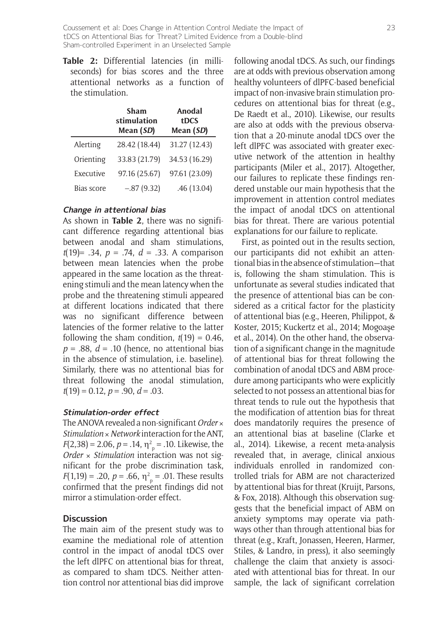**Table 2:** Differential latencies (in milliseconds) for bias scores and the three attentional networks as a function of the stimulation.

|            | Sham<br>stimulation<br>Mean (SD) | Anodal<br>tDCS<br>Mean (SD) |
|------------|----------------------------------|-----------------------------|
| Alerting   | 28.42 (18.44)                    | 31.27 (12.43)               |
| Orienting  | 33.83 (21.79)                    | 34.53 (16.29)               |
| Executive  | 97.16 (25.67)                    | 97.61 (23.09)               |
| Bias score | $-.87(9.32)$                     | .46 (13.04)                 |

#### **Change in attentional bias**

As shown in **Table 2**, there was no significant difference regarding attentional bias between anodal and sham stimulations, *t*(19)= .34, *p* = .74, *d* = .33. A comparison between mean latencies when the probe appeared in the same location as the threatening stimuli and the mean latency when the probe and the threatening stimuli appeared at different locations indicated that there was no significant difference between latencies of the former relative to the latter following the sham condition,  $t(19) = 0.46$ ,  $p = .88$ ,  $d = .10$  (hence, no attentional bias in the absence of stimulation, i.e. baseline). Similarly, there was no attentional bias for threat following the anodal stimulation, *t*(19) = 0.12, *p* = .90, *d* = .03.

#### **Stimulation-order effect**

The ANOVA revealed a non-significant *Order* × *Stimulation × Network* interaction for the ANT,  $F(2,38) = 2.06$ ,  $p = .14$ ,  $\eta^2 = .10$ . Likewise, the *Order* × *Stimulation* interaction was not significant for the probe discrimination task,  $F(1,19) = .20$ ,  $p = .66$ ,  $\eta_p^2 = .01$ . These results confirmed that the present findings did not mirror a stimulation-order effect.

## **Discussion**

The main aim of the present study was to examine the mediational role of attention control in the impact of anodal tDCS over the left dlPFC on attentional bias for threat, as compared to sham tDCS. Neither attention control nor attentional bias did improve

following anodal tDCS. As such, our findings are at odds with previous observation among healthy volunteers of dlPFC-based beneficial impact of non-invasive brain stimulation procedures on attentional bias for threat (e.g., De Raedt et al., 2010). Likewise, our results are also at odds with the previous observation that a 20-minute anodal tDCS over the left dlPFC was associated with greater executive network of the attention in healthy participants (Miler et al., 2017). Altogether, our failures to replicate these findings rendered unstable our main hypothesis that the improvement in attention control mediates the impact of anodal tDCS on attentional bias for threat. There are various potential explanations for our failure to replicate.

First, as pointed out in the results section, our participants did not exhibit an attentional bias in the absence of stimulation—that is, following the sham stimulation. This is unfortunate as several studies indicated that the presence of attentional bias can be considered as a critical factor for the plasticity of attentional bias (e.g., Heeren, Philippot, & Koster, 2015; Kuckertz et al., 2014; Mogoaşe et al., 2014). On the other hand, the observation of a significant change in the magnitude of attentional bias for threat following the combination of anodal tDCS and ABM procedure among participants who were explicitly selected to not possess an attentional bias for threat tends to rule out the hypothesis that the modification of attention bias for threat does mandatorily requires the presence of an attentional bias at baseline (Clarke et al., 2014). Likewise, a recent meta-analysis revealed that, in average, clinical anxious individuals enrolled in randomized controlled trials for ABM are not characterized by attentional bias for threat (Kruijt, Parsons, & Fox, 2018). Although this observation suggests that the beneficial impact of ABM on anxiety symptoms may operate via pathways other than through attentional bias for threat (e.g., Kraft, Jonassen, Heeren, Harmer, Stiles, & Landrø, in press), it also seemingly challenge the claim that anxiety is associated with attentional bias for threat. In our sample, the lack of significant correlation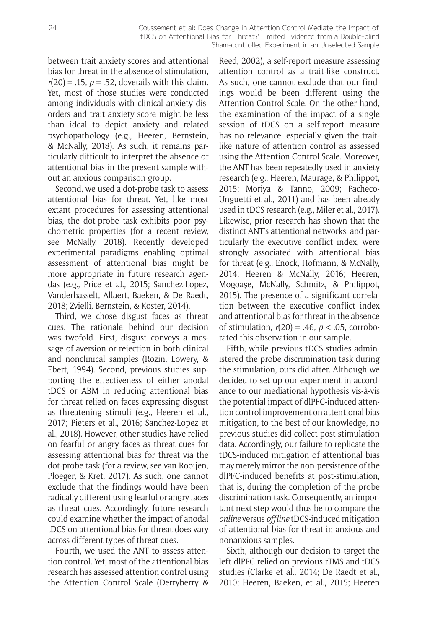between trait anxiety scores and attentional bias for threat in the absence of stimulation,  $r(20) = .15$ ,  $p = .52$ , dovetails with this claim. Yet, most of those studies were conducted among individuals with clinical anxiety disorders and trait anxiety score might be less than ideal to depict anxiety and related psychopathology (e.g., Heeren, Bernstein, & McNally, 2018). As such, it remains particularly difficult to interpret the absence of attentional bias in the present sample without an anxious comparison group.

Second, we used a dot-probe task to assess attentional bias for threat. Yet, like most extant procedures for assessing attentional bias, the dot-probe task exhibits poor psychometric properties (for a recent review, see McNally, 2018). Recently developed experimental paradigms enabling optimal assessment of attentional bias might be more appropriate in future research agendas (e.g., Price et al., 2015; Sanchez-Lopez, Vanderhasselt, Allaert, Baeken, & De Raedt, 2018; Zvielli, Bernstein, & Koster, 2014).

Third, we chose disgust faces as threat cues. The rationale behind our decision was twofold. First, disgust conveys a message of aversion or rejection in both clinical and nonclinical samples (Rozin, Lowery, & Ebert, 1994). Second, previous studies supporting the effectiveness of either anodal tDCS or ABM in reducing attentional bias for threat relied on faces expressing disgust as threatening stimuli (e.g., Heeren et al., 2017; Pieters et al., 2016; Sanchez-Lopez et al., 2018). However, other studies have relied on fearful or angry faces as threat cues for assessing attentional bias for threat via the dot-probe task (for a review, see van Rooijen, Ploeger, & Kret, 2017). As such, one cannot exclude that the findings would have been radically different using fearful or angry faces as threat cues. Accordingly, future research could examine whether the impact of anodal tDCS on attentional bias for threat does vary across different types of threat cues.

Fourth, we used the ANT to assess attention control. Yet, most of the attentional bias research has assessed attention control using the Attention Control Scale (Derryberry & Reed, 2002), a self-report measure assessing attention control as a trait-like construct. As such, one cannot exclude that our findings would be been different using the Attention Control Scale. On the other hand, the examination of the impact of a single session of tDCS on a self-report measure has no relevance, especially given the traitlike nature of attention control as assessed using the Attention Control Scale. Moreover, the ANT has been repeatedly used in anxiety research (e.g., Heeren, Maurage, & Philippot, 2015; Moriya & Tanno, 2009; Pacheco-Unguetti et al., 2011) and has been already used in tDCS research (e.g., Miler et al., 2017). Likewise, prior research has shown that the distinct ANT's attentional networks, and particularly the executive conflict index, were strongly associated with attentional bias for threat (e.g., Enock, Hofmann, & McNally, 2014; Heeren & McNally, 2016; Heeren, Mogoaşe, McNally, Schmitz, & Philippot, 2015). The presence of a significant correlation between the executive conflict index and attentional bias for threat in the absence of stimulation, *r*(20) = .46, *p* < .05, corroborated this observation in our sample.

Fifth, while previous tDCS studies administered the probe discrimination task during the stimulation, ours did after. Although we decided to set up our experiment in accordance to our mediational hypothesis vis-à-vis the potential impact of dlPFC-induced attention control improvement on attentional bias mitigation, to the best of our knowledge, no previous studies did collect post-stimulation data. Accordingly, our failure to replicate the tDCS-induced mitigation of attentional bias may merely mirror the non-persistence of the dlPFC-induced benefits at post-stimulation, that is, during the completion of the probe discrimination task. Consequently, an important next step would thus be to compare the *online* versus *offline* tDCS-induced mitigation of attentional bias for threat in anxious and nonanxious samples.

Sixth, although our decision to target the left dlPFC relied on previous rTMS and tDCS studies (Clarke et al., 2014; De Raedt et al., 2010; Heeren, Baeken, et al., 2015; Heeren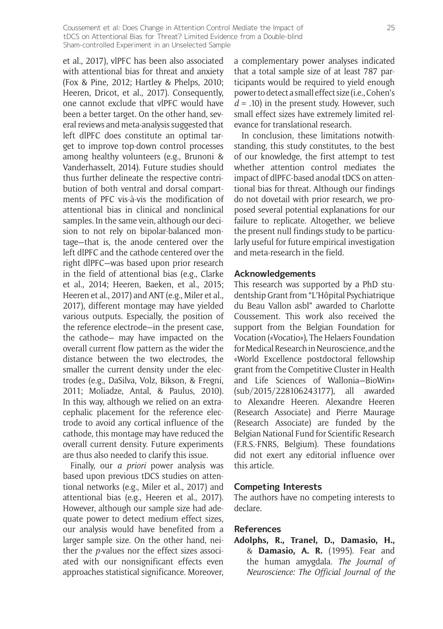et al., 2017), vlPFC has been also associated with attentional bias for threat and anxiety (Fox & Pine, 2012; Hartley & Phelps, 2010; Heeren, Dricot, et al., 2017). Consequently, one cannot exclude that vlPFC would have been a better target. On the other hand, several reviews and meta-analysis suggested that left dlPFC does constitute an optimal target to improve top-down control processes among healthy volunteers (e.g., Brunoni & Vanderhasselt, 2014). Future studies should thus further delineate the respective contribution of both ventral and dorsal compartments of PFC vis-à-vis the modification of attentional bias in clinical and nonclinical samples. In the same vein, although our decision to not rely on bipolar-balanced montage—that is, the anode centered over the left dlPFC and the cathode centered over the right dlPFC—was based upon prior research in the field of attentional bias (e.g., Clarke et al., 2014; Heeren, Baeken, et al., 2015; Heeren et al., 2017) and ANT (e.g., Miler et al., 2017), different montage may have yielded various outputs. Especially, the position of the reference electrode—in the present case, the cathode— may have impacted on the overall current flow pattern as the wider the distance between the two electrodes, the smaller the current density under the electrodes (e.g., DaSilva, Volz, Bikson, & Fregni, 2011; Moliadze, Antal, & Paulus, 2010). In this way, although we relied on an extracephalic placement for the reference electrode to avoid any cortical influence of the cathode, this montage may have reduced the overall current density. Future experiments are thus also needed to clarify this issue.

Finally, our *a priori* power analysis was based upon previous tDCS studies on attentional networks (e.g., Miler et al., 2017) and attentional bias (e.g., Heeren et al., 2017). However, although our sample size had adequate power to detect medium effect sizes, our analysis would have benefited from a larger sample size. On the other hand, neither the *p-*values nor the effect sizes associated with our nonsignificant effects even approaches statistical significance. Moreover,

a complementary power analyses indicated that a total sample size of at least 787 participants would be required to yield enough power to detect a small effect size (i.e., Cohen's  $d = .10$ ) in the present study. However, such small effect sizes have extremely limited relevance for translational research.

In conclusion, these limitations notwithstanding, this study constitutes, to the best of our knowledge, the first attempt to test whether attention control mediates the impact of dlPFC-based anodal tDCS on attentional bias for threat. Although our findings do not dovetail with prior research, we proposed several potential explanations for our failure to replicate. Altogether, we believe the present null findings study to be particularly useful for future empirical investigation and meta-research in the field.

#### **Acknowledgements**

This research was supported by a PhD studentship Grant from "L'Hôpital Psychiatrique du Beau Vallon asbl" awarded to Charlotte Coussement. This work also received the support from the Belgian Foundation for Vocation («Vocatio»), The Helaers Foundation for Medical Research in Neuroscience, and the «World Excellence postdoctoral fellowship grant from the Competitive Cluster in Health and Life Sciences of Wallonia—BioWin» (sub/2015/228106243177), all awarded to Alexandre Heeren. Alexandre Heeren (Research Associate) and Pierre Maurage (Research Associate) are funded by the Belgian National Fund for Scientific Research (F.R.S.-FNRS, Belgium). These foundations did not exert any editorial influence over this article.

## **Competing Interests**

The authors have no competing interests to declare.

## **References**

**Adolphs, R., Tranel, D., Damasio, H.,** & **Damasio, A. R.** (1995). Fear and the human amygdala. *The Journal of Neuroscience: The Official Journal of the*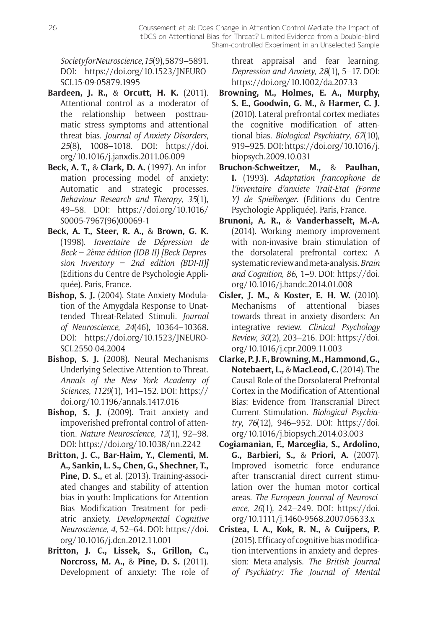*Society for Neuroscience*, *15*(9), 5879–5891. DOI: [https://doi.org/10.1523/JNEURO-](https://doi.org/10.1523/JNEUROSCI.15-09-05879.1995)[SCI.15-09-05879.1995](https://doi.org/10.1523/JNEUROSCI.15-09-05879.1995)

- **Bardeen, J. R.,** & **Orcutt, H. K.** (2011). Attentional control as a moderator of the relationship between posttraumatic stress symptoms and attentional threat bias. *Journal of Anxiety Disorders*, *25*(8), 1008–1018. DOI: [https://doi.](https://doi.org/10.1016/j.janxdis.2011.06.009) [org/10.1016/j.janxdis.2011.06.009](https://doi.org/10.1016/j.janxdis.2011.06.009)
- **Beck, A. T.,** & **Clark, D. A.** (1997). An information processing model of anxiety: Automatic and strategic processes. *Behaviour Research and Therapy*, *35*(1), 49–58. DOI: [https://doi.org/10.1016/](https://doi.org/10.1016/S0005-7967(96)00069-1) [S0005-7967\(96\)00069-1](https://doi.org/10.1016/S0005-7967(96)00069-1)
- **Beck, A. T., Steer, R. A.,** & **Brown, G. K.**  (1998). *Inventaire de Dépression de Beck – 2ème édition (IDB-II) [Beck Depression Inventory – 2nd edition (BDI-II)]* (Editions du Centre de Psychologie Appliquée). Paris, France.
- **Bishop, S. J.** (2004). State Anxiety Modulation of the Amygdala Response to Unattended Threat-Related Stimuli. *Journal of Neuroscience*, *24*(46), 10364–10368. DOI: [https://doi.org/10.1523/JNEURO-](https://doi.org/10.1523/JNEUROSCI.2550-04.2004)[SCI.2550-04.2004](https://doi.org/10.1523/JNEUROSCI.2550-04.2004)
- **Bishop, S. J.** (2008). Neural Mechanisms Underlying Selective Attention to Threat. *Annals of the New York Academy of Sciences*, *1129*(1), 141–152. DOI: [https://](https://doi.org/10.1196/annals.1417.016) [doi.org/10.1196/annals.1417.016](https://doi.org/10.1196/annals.1417.016)
- **Bishop, S. J.** (2009). Trait anxiety and impoverished prefrontal control of attention. *Nature Neuroscience*, *12*(1), 92–98. DOI: <https://doi.org/10.1038/nn.2242>
- **Britton, J. C., Bar-Haim, Y., Clementi, M. A., Sankin, L. S., Chen, G., Shechner, T.,**  Pine, D. S., et al. (2013). Training-associated changes and stability of attention bias in youth: Implications for Attention Bias Modification Treatment for pediatric anxiety. *Developmental Cognitive Neuroscience*, *4*, 52–64. DOI: [https://doi.](https://doi.org/10.1016/j.dcn.2012.11.001) [org/10.1016/j.dcn.2012.11.001](https://doi.org/10.1016/j.dcn.2012.11.001)
- **Britton, J. C., Lissek, S., Grillon, C., Norcross, M. A.,** & **Pine, D. S.** (2011). Development of anxiety: The role of

threat appraisal and fear learning. *Depression and Anxiety*, *28*(1), 5–17. DOI: <https://doi.org/10.1002/da.20733>

- **Browning, M., Holmes, E. A., Murphy, S. E., Goodwin, G. M.,** & **Harmer, C. J.** (2010). Lateral prefrontal cortex mediates the cognitive modification of attentional bias. *Biological Psychiatry*, *67*(10), 919–925. DOI: [https://doi.org/10.1016/j.](https://doi.org/10.1016/j.biopsych.2009.10.031) [biopsych.2009.10.031](https://doi.org/10.1016/j.biopsych.2009.10.031)
- **Bruchon-Schweitzer, M.,** & **Paulhan, I.** (1993). *Adaptation francophone de l'inventaire d'anxiete Trait-Etat (Forme Y) de Spielberger*. (Editions du Centre Psychologie Appliquée). Paris, France.
- **Brunoni, A. R.,** & **Vanderhasselt, M.-A.**  (2014). Working memory improvement with non-invasive brain stimulation of the dorsolateral prefrontal cortex: A systematic review and meta-analysis. *Brain and Cognition*, *86*, 1–9. DOI: [https://doi.](https://doi.org/10.1016/j.bandc.2014.01.008) [org/10.1016/j.bandc.2014.01.008](https://doi.org/10.1016/j.bandc.2014.01.008)
- **Cisler, J. M.,** & **Koster, E. H. W.** (2010). Mechanisms of attentional biases towards threat in anxiety disorders: An integrative review. *Clinical Psychology Review*, *30*(2), 203–216. DOI: [https://doi.](https://doi.org/10.1016/j.cpr.2009.11.003) [org/10.1016/j.cpr.2009.11.003](https://doi.org/10.1016/j.cpr.2009.11.003)
- **Clarke, P. J. F., Browning, M., Hammond, G., Notebaert, L.,** & **MacLeod, C.** (2014). The Causal Role of the Dorsolateral Prefrontal Cortex in the Modification of Attentional Bias: Evidence from Transcranial Direct Current Stimulation. *Biological Psychiatry*, *76*(12), 946–952. DOI: [https://doi.](https://doi.org/10.1016/j.biopsych.2014.03.003) [org/10.1016/j.biopsych.2014.03.003](https://doi.org/10.1016/j.biopsych.2014.03.003)
- **Cogiamanian, F., Marceglia, S., Ardolino, G., Barbieri, S.,** & **Priori, A.** (2007). Improved isometric force endurance after transcranial direct current stimulation over the human motor cortical areas. *The European Journal of Neuroscience*, *26*(1), 242–249. DOI: [https://doi.](https://doi.org/10.1111/j.1460-9568.2007.05633.x) [org/10.1111/j.1460-9568.2007.05633.x](https://doi.org/10.1111/j.1460-9568.2007.05633.x)
- **Cristea, I. A., Kok, R. N.,** & **Cuijpers, P.** (2015). Efficacy of cognitive bias modification interventions in anxiety and depression: Meta-analysis. *The British Journal of Psychiatry: The Journal of Mental*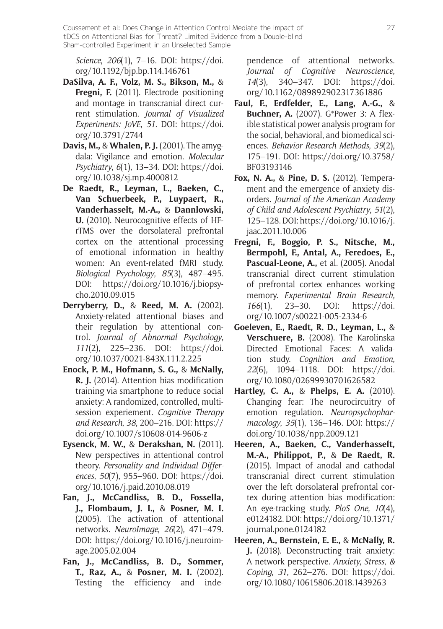*Science*, *206*(1), 7–16. DOI: [https://doi.](https://doi.org/10.1192/bjp.bp.114.146761) [org/10.1192/bjp.bp.114.146761](https://doi.org/10.1192/bjp.bp.114.146761)

- **DaSilva, A. F., Volz, M. S., Bikson, M.,** & **Fregni, F.** (2011). Electrode positioning and montage in transcranial direct current stimulation. *Journal of Visualized Experiments: JoVE*, *51*. DOI: [https://doi.](https://doi.org/10.3791/2744) [org/10.3791/2744](https://doi.org/10.3791/2744)
- **Davis, M.,** & **Whalen, P. J.** (2001). The amygdala: Vigilance and emotion. *Molecular Psychiatry*, *6*(1), 13–34. DOI: [https://doi.](https://doi.org/10.1038/sj.mp.4000812) [org/10.1038/sj.mp.4000812](https://doi.org/10.1038/sj.mp.4000812)
- **De Raedt, R., Leyman, L., Baeken, C., Van Schuerbeek, P., Luypaert, R., Vanderhasselt, M.-A.,** & **Dannlowski, U.** (2010). Neurocognitive effects of HFrTMS over the dorsolateral prefrontal cortex on the attentional processing of emotional information in healthy women: An event-related fMRI study. *Biological Psychology*, *85*(3), 487–495. DOI: [https://doi.org/10.1016/j.biopsy](https://doi.org/10.1016/j.biopsycho.2010.09.015)[cho.2010.09.015](https://doi.org/10.1016/j.biopsycho.2010.09.015)
- **Derryberry, D.,** & **Reed, M. A.** (2002). Anxiety-related attentional biases and their regulation by attentional control. *Journal of Abnormal Psychology*, *111*(2), 225–236. DOI: [https://doi.](https://doi.org/10.1037/0021-843X.111.2.225) [org/10.1037/0021-843X.111.2.225](https://doi.org/10.1037/0021-843X.111.2.225)
- **Enock, P. M., Hofmann, S. G.,** & **McNally, R. J.** (2014). Attention bias modification training via smartphone to reduce social anxiety: A randomized, controlled, multisession experiement. *Cognitive Therapy and Research*, *38*, 200–216. DOI: [https://](https://doi.org/10.1007/s10608-014-9606-z) [doi.org/10.1007/s10608-014-9606-z](https://doi.org/10.1007/s10608-014-9606-z)
- **Eysenck, M. W.,** & **Derakshan, N.** (2011). New perspectives in attentional control theory. *Personality and Individual Differences*, *50*(7), 955–960. DOI: [https://doi.](https://doi.org/10.1016/j.paid.2010.08.019) [org/10.1016/j.paid.2010.08.019](https://doi.org/10.1016/j.paid.2010.08.019)
- **Fan, J., McCandliss, B. D., Fossella, J., Flombaum, J. I.,** & **Posner, M. I.** (2005). The activation of attentional networks. *NeuroImage*, *26*(2), 471–479. DOI: [https://doi.org/10.1016/j.neuroim](https://doi.org/10.1016/j.neuroimage.2005.02.004)[age.2005.02.004](https://doi.org/10.1016/j.neuroimage.2005.02.004)
- **Fan, J., McCandliss, B. D., Sommer, T., Raz, A.,** & **Posner, M. I.** (2002). Testing the efficiency and inde-

pendence of attentional networks. *Journal of Cognitive Neuroscience*, *14*(3), 340–347. DOI: [https://doi.](https://doi.org/10.1162/089892902317361886) [org/10.1162/089892902317361886](https://doi.org/10.1162/089892902317361886)

- **Faul, F., Erdfelder, E., Lang, A.-G.,** & **Buchner, A.** (2007). G\*Power 3: A flexible statistical power analysis program for the social, behavioral, and biomedical sciences. *Behavior Research Methods*, *39*(2), 175–191. DOI: [https://doi.org/10.3758/](https://doi.org/10.3758/BF03193146) [BF03193146](https://doi.org/10.3758/BF03193146)
- **Fox, N. A.,** & **Pine, D. S.** (2012). Temperament and the emergence of anxiety disorders. *Journal of the American Academy of Child and Adolescent Psychiatry*, *51*(2), 125–128. DOI: [https://doi.org/10.1016/j.](https://doi.org/10.1016/j.jaac.2011.10.006) [jaac.2011.10.006](https://doi.org/10.1016/j.jaac.2011.10.006)
- **Fregni, F., Boggio, P. S., Nitsche, M., Bermpohl, F., Antal, A., Feredoes, E., Pascual-Leone, A.,** et al. (2005). Anodal transcranial direct current stimulation of prefrontal cortex enhances working memory. *Experimental Brain Research*, *166*(1), 23–30. DOI: [https://doi.](https://doi.org/10.1007/s00221-005-2334-6) [org/10.1007/s00221-005-2334-6](https://doi.org/10.1007/s00221-005-2334-6)
- **Goeleven, E., Raedt, R. D., Leyman, L.,** & **Verschuere, B.** (2008). The Karolinska Directed Emotional Faces: A validation study. *Cognition and Emotion*, *22*(6), 1094–1118. DOI: [https://doi.](https://doi.org/10.1080/02699930701626582) [org/10.1080/02699930701626582](https://doi.org/10.1080/02699930701626582)
- **Hartley, C. A.,** & **Phelps, E. A.** (2010). Changing fear: The neurocircuitry of emotion regulation. *Neuropsychopharmacology*, *35*(1), 136–146. DOI: [https://](https://doi.org/10.1038/npp.2009.121) [doi.org/10.1038/npp.2009.121](https://doi.org/10.1038/npp.2009.121)
- **Heeren, A., Baeken, C., Vanderhasselt, M.-A., Philippot, P.,** & **De Raedt, R.**  (2015). Impact of anodal and cathodal transcranial direct current stimulation over the left dorsolateral prefrontal cortex during attention bias modification: An eye-tracking study. *PloS One*, *10*(4), e0124182. DOI: [https://doi.org/10.1371/](https://doi.org/10.1371/journal.pone.0124182) [journal.pone.0124182](https://doi.org/10.1371/journal.pone.0124182)
- **Heeren, A., Bernstein, E. E.,** & **McNally, R. J.** (2018). Deconstructing trait anxiety: A network perspective. *Anxiety*, *Stress*, *& Coping*, *31*, 262–276. DOI: [https://doi.](https://doi.org/10.1080/10615806.2018.1439263) [org/10.1080/10615806.2018.1439263](https://doi.org/10.1080/10615806.2018.1439263)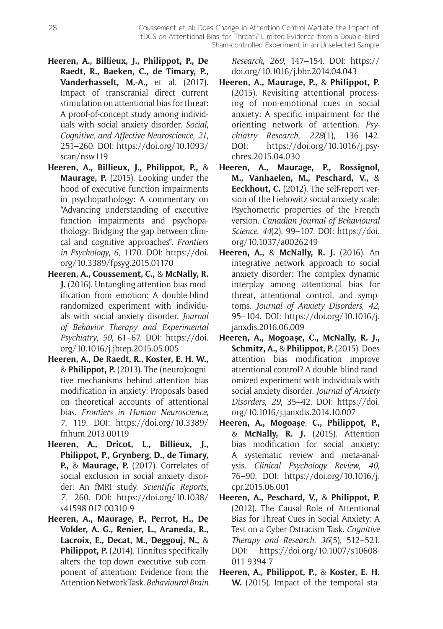- **Heeren, A., Billieux, J., Philippot, P., De Raedt, R., Baeken, C., de Timary, P., Vanderhasselt, M.-A.,** et al. (2017). Impact of transcranial direct current stimulation on attentional bias for threat: A proof-of-concept study among individuals with social anxiety disorder. *Social*, *Cognitive*, *and Affective Neuroscience*, *21*, 251–260. DOI: [https://doi.org/10.1093/](https://doi.org/10.1093/scan/nsw119) [scan/nsw119](https://doi.org/10.1093/scan/nsw119)
- **Heeren, A., Billieux, J., Philippot, P.,** & **Maurage, P.** (2015). Looking under the hood of executive function impairments in psychopathology: A commentary on "Advancing understanding of executive function impairments and psychopathology: Bridging the gap between clinical and cognitive approaches". *Frontiers in Psychology*, *6*, 1170. DOI: [https://doi.](https://doi.org/10.3389/fpsyg.2015.01170) [org/10.3389/fpsyg.2015.01170](https://doi.org/10.3389/fpsyg.2015.01170)
- **Heeren, A., Coussement, C.,** & **McNally, R. J.** (2016). Untangling attention bias modification from emotion: A double-blind randomized experiment with individuals with social anxiety disorder. *Journal of Behavior Therapy and Experimental Psychiatry*, *50*, 61–67. DOI: [https://doi.](https://doi.org/10.1016/j.jbtep.2015.05.005) [org/10.1016/j.jbtep.2015.05.005](https://doi.org/10.1016/j.jbtep.2015.05.005)
- **Heeren, A., De Raedt, R., Koster, E. H. W.,** & **Philippot, P.** (2013). The (neuro)cognitive mechanisms behind attention bias modification in anxiety: Proposals based on theoretical accounts of attentional bias. *Frontiers in Human Neuroscience*, *7*, 119. DOI: [https://doi.org/10.3389/](https://doi.org/10.3389/fnhum.2013.00119) [fnhum.2013.00119](https://doi.org/10.3389/fnhum.2013.00119)
- **Heeren, A., Dricot, L., Billieux, J., Philippot, P., Grynberg, D., de Timary, P.,** & **Maurage, P.** (2017). Correlates of social exclusion in social anxiety disorder: An fMRI study. *Scientific Reports*, *7*, 260. DOI: [https://doi.org/10.1038/](https://doi.org/10.1038/s41598-017-00310-9) [s41598-017-00310-9](https://doi.org/10.1038/s41598-017-00310-9)
- **Heeren, A., Maurage, P., Perrot, H., De Volder, A. G., Renier, L., Araneda, R., Lacroix, E., Decat, M., Deggouj, N.,** & **Philippot, P.** (2014). Tinnitus specifically alters the top-down executive sub-component of attention: Evidence from the Attention Network Task. *Behavioural Brain*

*Research*, *269*, 147–154. DOI: [https://](https://doi.org/10.1016/j.bbr.2014.04.043) [doi.org/10.1016/j.bbr.2014.04.043](https://doi.org/10.1016/j.bbr.2014.04.043)

- **Heeren, A., Maurage, P.,** & **Philippot, P.**  (2015). Revisiting attentional processing of non-emotional cues in social anxiety: A specific impairment for the orienting network of attention. *Psychiatry Research*, *228*(1), 136–142. DOI: [https://doi.org/10.1016/j.psy](https://doi.org/10.1016/j.psychres.2015.04.030)[chres.2015.04.030](https://doi.org/10.1016/j.psychres.2015.04.030)
- **Heeren, A., Maurage, P., Rossignol, M., Vanhaelen, M., Peschard, V.,** & **Eeckhout, C.** (2012). The self-report version of the Liebowitz social anxiety scale: Psychometric properties of the French version. *Canadian Journal of Behavioural Science*, *44*(2), 99–107. DOI: [https://doi.](https://doi.org/10.1037/a0026249) [org/10.1037/a0026249](https://doi.org/10.1037/a0026249)
- **Heeren, A.,** & **McNally, R. J.** (2016). An integrative network approach to social anxiety disorder: The complex dynamic interplay among attentional bias for threat, attentional control, and symptoms. *Journal of Anxiety Disorders*, *42*, 95–104. DOI: [https://doi.org/10.1016/j.](https://doi.org/10.1016/j.janxdis.2016.06.009) [janxdis.2016.06.009](https://doi.org/10.1016/j.janxdis.2016.06.009)
- **Heeren, A., Mogoaşe, C., McNally, R. J., Schmitz, A.,** & **Philippot, P.** (2015). Does attention bias modification improve attentional control? A double-blind randomized experiment with individuals with social anxiety disorder. *Journal of Anxiety Disorders*, *29*, 35–42. DOI: [https://doi.](https://doi.org/10.1016/j.janxdis.2014.10.007) [org/10.1016/j.janxdis.2014.10.007](https://doi.org/10.1016/j.janxdis.2014.10.007)
- **Heeren, A., Mogoaşe**, **C., Philippot, P.,** & **McNally, R. J.** (2015). Attention bias modification for social anxiety: A systematic review and meta-analysis. *Clinical Psychology Review*, *40*, 76–90. DOI: [https://doi.org/10.1016/j.](https://doi.org/10.1016/j.cpr.2015.06.001) [cpr.2015.06.001](https://doi.org/10.1016/j.cpr.2015.06.001)
- **Heeren, A., Peschard, V.,** & **Philippot, P.**  (2012). The Causal Role of Attentional Bias for Threat Cues in Social Anxiety: A Test on a Cyber-Ostracism Task. *Cognitive Therapy and Research*, *36*(5), 512–521. DOI: [https://doi.org/10.1007/s10608-](https://doi.org/10.1007/s10608-011-9394-7) [011-9394-7](https://doi.org/10.1007/s10608-011-9394-7)
- **Heeren, A., Philippot, P.,** & **Koster, E. H. W.** (2015). Impact of the temporal sta-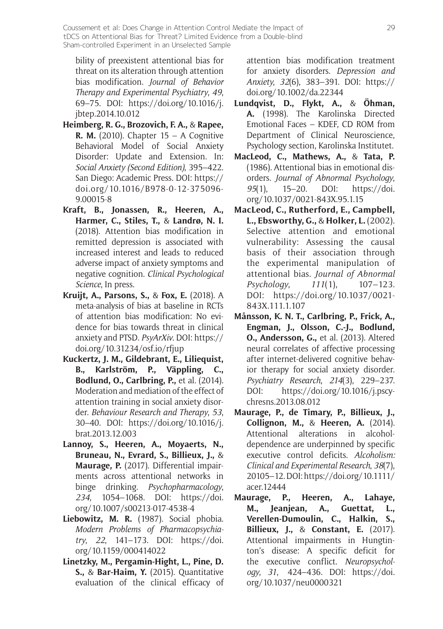bility of preexistent attentional bias for threat on its alteration through attention bias modification. *Journal of Behavior Therapy and Experimental Psychiatry*, *49*, 69–75. DOI: [https://doi.org/10.1016/j.](https://doi.org/10.1016/j.jbtep.2014.10.012) [jbtep.2014.10.012](https://doi.org/10.1016/j.jbtep.2014.10.012)

- **Heimberg, R. G., Brozovich, F. A.,** & **Rapee, R. M.** (2010). Chapter 15 – A Cognitive Behavioral Model of Social Anxiety Disorder: Update and Extension. In: *Social Anxiety (Second Edition)*, 395–422. San Diego: Academic Press. DOI: [https://](https://doi.org/10.1016/B978-0-12-375096-9.00015-8) [doi.org/10.1016/B978-0-12-375096-](https://doi.org/10.1016/B978-0-12-375096-9.00015-8) [9.00015-8](https://doi.org/10.1016/B978-0-12-375096-9.00015-8)
- **Kraft, B., Jonassen, R., Heeren, A., Harmer, C., Stiles, T.,** & **Landrø, N. I.**  (2018). Attention bias modification in remitted depression is associated with increased interest and leads to reduced adverse impact of anxiety symptoms and negative cognition. *Clinical Psychological Science*, In press.
- **Kruijt, A., Parsons, S.,** & **Fox, E.** (2018). A meta-analysis of bias at baseline in RCTs of attention bias modification: No evidence for bias towards threat in clinical anxiety and PTSD. *PsyArXiv*. DOI: [https://](https://doi.org/10.31234/osf.io/rfjup) [doi.org/10.31234/osf.io/rfjup](https://doi.org/10.31234/osf.io/rfjup)
- **Kuckertz, J. M., Gildebrant, E., Liliequist, B., Karlström, P., Väppling, C., Bodlund, O., Carlbring, P.,** et al. (2014). Moderation and mediation of the effect of attention training in social anxiety disorder. *Behaviour Research and Therapy*, *53*, 30–40. DOI: [https://doi.org/10.1016/j.](https://doi.org/10.1016/j.brat.2013.12.003) [brat.2013.12.003](https://doi.org/10.1016/j.brat.2013.12.003)
- **Lannoy, S., Heeren, A., Moyaerts, N., Bruneau, N., Evrard, S., Billieux, J.,** & **Maurage, P.** (2017). Differential impairments across attentional networks in binge drinking. *Psychopharmacology*, *234*, 1054–1068. DOI: [https://doi.](https://doi.org/10.1007/s00213-017-4538-4) [org/10.1007/s00213-017-4538-4](https://doi.org/10.1007/s00213-017-4538-4)
- **Liebowitz, M. R.** (1987). Social phobia. *Modern Problems of Pharmacopsychiatry*, *22*, 141–173. DOI: [https://doi.](https://doi.org/10.1159/000414022) [org/10.1159/000414022](https://doi.org/10.1159/000414022)
- **Linetzky, M., Pergamin-Hight, L., Pine, D. S.,** & **Bar-Haim, Y.** (2015). Quantitative evaluation of the clinical efficacy of

attention bias modification treatment for anxiety disorders. *Depression and Anxiety*, *32*(6), 383–391. DOI: [https://](https://doi.org/10.1002/da.22344) [doi.org/10.1002/da.22344](https://doi.org/10.1002/da.22344)

- **Lundqvist, D., Flykt, A.,** & **Öhman, A.** (1998). The Karolinska Directed Emotional Faces – KDEF, CD ROM from Department of Clinical Neuroscience, Psychology section, Karolinska Institutet.
- **MacLeod, C., Mathews, A.,** & **Tata, P.**  (1986). Attentional bias in emotional disorders. *Journal of Abnormal Psychology*, *95*(1), 15–20. DOI: [https://doi.](https://doi.org/10.1037/0021-843X.95.1.15) [org/10.1037/0021-843X.95.1.15](https://doi.org/10.1037/0021-843X.95.1.15)
- **MacLeod, C., Rutherford, E., Campbell, L., Ebsworthy, G.,** & **Holker, L.** (2002). Selective attention and emotional vulnerability: Assessing the causal basis of their association through the experimental manipulation of attentional bias. *Journal of Abnormal Psychology*, *111*(1), 107–123. DOI: [https://doi.org/10.1037/0021-](https://doi.org/10.1037/0021-843X.111.1.107) [843X.111.1.107](https://doi.org/10.1037/0021-843X.111.1.107)
- **Månsson, K. N. T., Carlbring, P., Frick, A., Engman, J., Olsson, C.-J., Bodlund, O., Andersson, G.,** et al. (2013). Altered neural correlates of affective processing after internet-delivered cognitive behavior therapy for social anxiety disorder. *Psychiatry Research*, *214*(3), 229–237. DOI: [https://doi.org/10.1016/j.pscy](https://doi.org/10.1016/j.pscychresns.2013.08.012)[chresns.2013.08.012](https://doi.org/10.1016/j.pscychresns.2013.08.012)
- **Maurage, P., de Timary, P., Billieux, J., Collignon, M.,** & **Heeren, A.** (2014). Attentional alterations in alcoholdependence are underpinned by specific executive control deficits. *Alcoholism: Clinical and Experimental Research*, *38*(7), 20105–12.DOI: [https://doi.org/10.1111/](https://doi.org/10.1111/acer.12444) [acer.12444](https://doi.org/10.1111/acer.12444)
- **Maurage, P., Heeren, A., Lahaye, M., Jeanjean, A., Guettat, L., Verellen-Dumoulin, C., Halkin, S., Billieux, J.,** & **Constant, E.** (2017). Attentional impairments in Hungtinton's disease: A specific deficit for the executive conflict. *Neuropsychology*, *31*, 424–436. DOI: [https://doi.](https://doi.org/10.1037/neu0000321) [org/10.1037/neu0000321](https://doi.org/10.1037/neu0000321)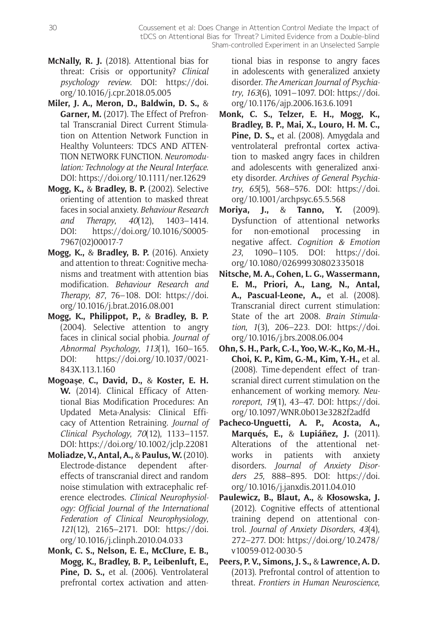- **McNally, R. J.** (2018). Attentional bias for threat: Crisis or opportunity? *Clinical psychology review*. DOI: [https://doi.](https://doi.org/10.1016/j.cpr.2018.05.005) [org/10.1016/j.cpr.2018.05.005](https://doi.org/10.1016/j.cpr.2018.05.005)
- **Miler, J. A., Meron, D., Baldwin, D. S.,** & **Garner, M.** (2017). The Effect of Prefrontal Transcranial Direct Current Stimulation on Attention Network Function in Healthy Volunteers: TDCS AND ATTEN-TION NETWORK FUNCTION. *Neuromodulation: Technology at the Neural Interface*. DOI: <https://doi.org/10.1111/ner.12629>
- **Mogg, K.,** & **Bradley, B. P.** (2002). Selective orienting of attention to masked threat faces in social anxiety. *Behaviour Research and Therapy*, *40*(12), 1403–1414. DOI: [https://doi.org/10.1016/S0005-](https://doi.org/10.1016/S0005-7967(02)00017-7) [7967\(02\)00017-7](https://doi.org/10.1016/S0005-7967(02)00017-7)
- **Mogg, K.,** & **Bradley, B. P.** (2016). Anxiety and attention to threat: Cognitive mechanisms and treatment with attention bias modification. *Behaviour Research and Therapy*, *87*, 76–108. DOI: [https://doi.](https://doi.org/10.1016/j.brat.2016.08.001) [org/10.1016/j.brat.2016.08.001](https://doi.org/10.1016/j.brat.2016.08.001)
- **Mogg, K., Philippot, P.,** & **Bradley, B. P.**  (2004). Selective attention to angry faces in clinical social phobia. *Journal of Abnormal Psychology*, *113*(1), 160–165. DOI: [https://doi.org/10.1037/0021-](https://doi.org/10.1037/0021-843X.113.1.160) [843X.113.1.160](https://doi.org/10.1037/0021-843X.113.1.160)
- **Mogoaşe**, **C., David, D.,** & **Koster, E. H. W.** (2014). Clinical Efficacy of Attentional Bias Modification Procedures: An Updated Meta-Analysis: Clinical Efficacy of Attention Retraining. *Journal of Clinical Psychology*, *70*(12), 1133–1157. DOI: <https://doi.org/10.1002/jclp.22081>
- **Moliadze, V., Antal, A.,** & **Paulus, W.** (2010). Electrode-distance dependent aftereffects of transcranial direct and random noise stimulation with extracephalic reference electrodes. *Clinical Neurophysiology: Official Journal of the International Federation of Clinical Neurophysiology*, *121*(12), 2165–2171. DOI: [https://doi.](https://doi.org/10.1016/j.clinph.2010.04.033) [org/10.1016/j.clinph.2010.04.033](https://doi.org/10.1016/j.clinph.2010.04.033)
- **Monk, C. S., Nelson, E. E., McClure, E. B., Mogg, K., Bradley, B. P., Leibenluft, E.,**  Pine, D. S., et al. (2006). Ventrolateral prefrontal cortex activation and atten-

tional bias in response to angry faces in adolescents with generalized anxiety disorder. *The American Journal of Psychiatry*, *163*(6), 1091–1097. DOI: [https://doi.](https://doi.org/10.1176/ajp.2006.163.6.1091) [org/10.1176/ajp.2006.163.6.1091](https://doi.org/10.1176/ajp.2006.163.6.1091)

- **Monk, C. S., Telzer, E. H., Mogg, K., Bradley, B. P., Mai, X., Louro, H. M. C., Pine, D. S.,** et al. (2008). Amygdala and ventrolateral prefrontal cortex activation to masked angry faces in children and adolescents with generalized anxiety disorder. *Archives of General Psychiatry*, *65*(5), 568–576. DOI: [https://doi.](https://doi.org/10.1001/archpsyc.65.5.568) [org/10.1001/archpsyc.65.5.568](https://doi.org/10.1001/archpsyc.65.5.568)
- **Moriya, J.,** & **Tanno, Y.** (2009). Dysfunction of attentional networks for non-emotional processing in negative affect. *Cognition & Emotion 23*, 1090–1105. DOI: [https://doi.](https://doi.org/10.1080/02699930802335018) [org/10.1080/02699930802335018](https://doi.org/10.1080/02699930802335018)
- **Nitsche, M. A., Cohen, L. G., Wassermann, E. M., Priori, A., Lang, N., Antal, A., Pascual-Leone, A.,** et al. (2008). Transcranial direct current stimulation: State of the art 2008. *Brain Stimulation*, *1*(3), 206–223. DOI: [https://doi.](https://doi.org/10.1016/j.brs.2008.06.004) [org/10.1016/j.brs.2008.06.004](https://doi.org/10.1016/j.brs.2008.06.004)
- **Ohn, S. H., Park, C.-I., Yoo, W.-K., Ko, M.-H., Choi, K. P., Kim, G.-M., Kim, Y.-H.,** et al. (2008). Time-dependent effect of transcranial direct current stimulation on the enhancement of working memory. *Neuroreport*, *19*(1), 43–47. DOI: [https://doi.](https://doi.org/10.1097/WNR.0b013e3282f2adfd) [org/10.1097/WNR.0b013e3282f2adfd](https://doi.org/10.1097/WNR.0b013e3282f2adfd)
- **Pacheco-Unguetti, A. P., Acosta, A., Marqués, E.,** & **Lupiáñez, J.** (2011). Alterations of the attentional networks in patients with anxiety disorders. *Journal of Anxiety Disorders 25*, 888–895. DOI: [https://doi.](https://doi.org/10.1016/j.janxdis.2011.04.010) [org/10.1016/j.janxdis.2011.04.010](https://doi.org/10.1016/j.janxdis.2011.04.010)
- **Paulewicz, B., Blaut, A.,** & **Kłosowska, J.**  (2012). Cognitive effects of attentional training depend on attentional control. *Journal of Anxiety Disorders*, *43*(4), 272–277. DOI: [https://doi.org/10.2478/](https://doi.org/10.2478/v10059-012-0030-5) [v10059-012-0030-5](https://doi.org/10.2478/v10059-012-0030-5)
- **Peers, P. V., Simons, J. S.,** & **Lawrence, A. D.**  (2013). Prefrontal control of attention to threat. *Frontiers in Human Neuroscience*,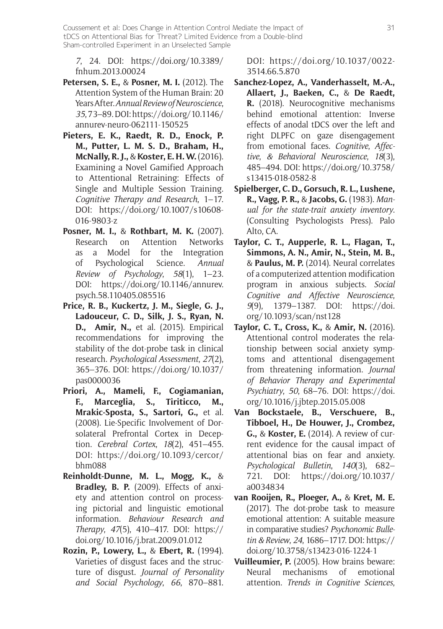*7*, 24. DOI: [https://doi.org/10.3389/](https://doi.org/10.3389/fnhum.2013.00024) [fnhum.2013.00024](https://doi.org/10.3389/fnhum.2013.00024)

- **Petersen, S. E.,** & **Posner, M. I.** (2012). The Attention System of the Human Brain: 20 Years After. *Annual Review of Neuroscience*, *35*, 73–89. DOI: [https://doi.org/10.1146/](https://doi.org/10.1146/annurev-neuro-062111-150525) [annurev-neuro-062111-150525](https://doi.org/10.1146/annurev-neuro-062111-150525)
- **Pieters, E. K., Raedt, R. D., Enock, P. M., Putter, L. M. S. D., Braham, H., McNally, R. J.,** & **Koster, E. H. W.** (2016). Examining a Novel Gamified Approach to Attentional Retraining: Effects of Single and Multiple Session Training. *Cognitive Therapy and Research*, 1–17. DOI: [https://doi.org/10.1007/s10608-](https://doi.org/10.1007/s10608-016-9803-z) [016-9803-z](https://doi.org/10.1007/s10608-016-9803-z)
- **Posner, M. I.,** & **Rothbart, M. K.** (2007). Research on Attention Networks as a Model for the Integration of Psychological Science. *Annual Review of Psychology*, *58*(1), 1–23. DOI: [https://doi.org/10.1146/annurev.](https://doi.org/10.1146/annurev.psych.58.110405.085516) [psych.58.110405.085516](https://doi.org/10.1146/annurev.psych.58.110405.085516)
- **Price, R. B., Kuckertz, J. M., Siegle, G. J., Ladouceur, C. D., Silk, J. S., Ryan, N. D., Amir, N.,** et al. (2015). Empirical recommendations for improving the stability of the dot-probe task in clinical research. *Psychological Assessment*, *27*(2), 365–376. DOI: [https://doi.org/10.1037/](https://doi.org/10.1037/pas0000036) [pas0000036](https://doi.org/10.1037/pas0000036)
- **Priori, A., Mameli, F., Cogiamanian, F., Marceglia, S., Tiriticco, M., Mrakic-Sposta, S., Sartori, G.,** et al. (2008). Lie-Specific Involvement of Dorsolateral Prefrontal Cortex in Deception. *Cerebral Cortex*, *18*(2), 451–455. DOI: [https://doi.org/10.1093/cercor/](https://doi.org/10.1093/cercor/bhm088) [bhm088](https://doi.org/10.1093/cercor/bhm088)
- **Reinholdt-Dunne, M. L., Mogg, K.,** & **Bradley, B. P.** (2009). Effects of anxiety and attention control on processing pictorial and linguistic emotional information. *Behaviour Research and Therapy*, *47*(5), 410–417. DOI: [https://](https://doi.org/10.1016/j.brat.2009.01.012) [doi.org/10.1016/j.brat.2009.01.012](https://doi.org/10.1016/j.brat.2009.01.012)
- **Rozin, P., Lowery, L.,** & **Ebert, R.** (1994). Varieties of disgust faces and the structure of disgust. *Journal of Personality and Social Psychology*, *66*, 870–881.

DOI: [https://doi.org/10.1037/0022-](https://doi.org/10.1037/0022-3514.66.5.870) [3514.66.5.870](https://doi.org/10.1037/0022-3514.66.5.870)

- **Sanchez-Lopez, A., Vanderhasselt, M.-A., Allaert, J., Baeken, C.,** & **De Raedt, R.** (2018). Neurocognitive mechanisms behind emotional attention: Inverse effects of anodal tDCS over the left and right DLPFC on gaze disengagement from emotional faces. *Cognitive*, *Affective*, *& Behavioral Neuroscience*, *18*(3), 485–494. DOI: [https://doi.org/10.3758/](https://doi.org/10.3758/s13415-018-0582-8) [s13415-018-0582-8](https://doi.org/10.3758/s13415-018-0582-8)
- **Spielberger, C. D., Gorsuch, R. L., Lushene, R., Vagg, P. R.,** & **Jacobs, G.** (1983). *Manual for the state-trait anxiety inventory*. (Consulting Psychologists Press). Palo Alto, CA.
- **Taylor, C. T., Aupperle, R. L., Flagan, T., Simmons, A. N., Amir, N., Stein, M. B.,** & **Paulus, M. P.** (2014). Neural correlates of a computerized attention modification program in anxious subjects. *Social Cognitive and Affective Neuroscience*, *9*(9), 1379–1387. DOI: [https://doi.](https://doi.org/10.1093/scan/nst128) [org/10.1093/scan/nst128](https://doi.org/10.1093/scan/nst128)
- **Taylor, C. T., Cross, K.,** & **Amir, N.** (2016). Attentional control moderates the relationship between social anxiety symptoms and attentional disengagement from threatening information. *Journal of Behavior Therapy and Experimental Psychiatry*, *50*, 68–76. DOI: [https://doi.](https://doi.org/10.1016/j.jbtep.2015.05.008) [org/10.1016/j.jbtep.2015.05.008](https://doi.org/10.1016/j.jbtep.2015.05.008)
- **Van Bockstaele, B., Verschuere, B., Tibboel, H., De Houwer, J., Crombez, G.,** & **Koster, E.** (2014). A review of current evidence for the causal impact of attentional bias on fear and anxiety. *Psychological Bulletin*, *140*(3), 682– 721. DOI: [https://doi.org/10.1037/](https://doi.org/10.1037/a0034834) [a0034834](https://doi.org/10.1037/a0034834)
- **van Rooijen, R., Ploeger, A.,** & **Kret, M. E.**  (2017). The dot-probe task to measure emotional attention: A suitable measure in comparative studies? *Psychonomic Bulletin & Review*, *24*, 1686–1717. DOI: [https://](https://doi.org/10.3758/s13423-016-1224-1) [doi.org/10.3758/s13423-016-1224-1](https://doi.org/10.3758/s13423-016-1224-1)
- **Vuilleumier, P.** (2005). How brains beware: Neural mechanisms of emotional attention. *Trends in Cognitive Sciences*,